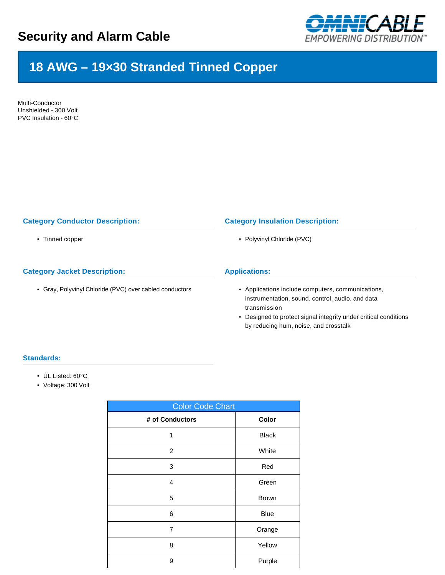

# **18 AWG – 19×30 Stranded Tinned Copper**

Multi-Conductor Unshielded - 300 Volt PVC Insulation - 60°C

## **Category Conductor Description:**

• Tinned copper

## **Category Jacket Description:**

• Gray, Polyvinyl Chloride (PVC) over cabled conductors

### **Category Insulation Description:**

• Polyvinyl Chloride (PVC)

#### **Applications:**

- Applications include computers, communications, instrumentation, sound, control, audio, and data transmission
- Designed to protect signal integrity under critical conditions by reducing hum, noise, and crosstalk

## **Standards:**

- UL Listed: 60°C
- Voltage: 300 Volt

| <b>Color Code Chart</b> |              |  |  |  |  |  |
|-------------------------|--------------|--|--|--|--|--|
| # of Conductors         | Color        |  |  |  |  |  |
| 1                       | <b>Black</b> |  |  |  |  |  |
| $\overline{2}$          | White        |  |  |  |  |  |
| 3                       | Red          |  |  |  |  |  |
| 4                       | Green        |  |  |  |  |  |
| 5                       | <b>Brown</b> |  |  |  |  |  |
| 6                       | <b>Blue</b>  |  |  |  |  |  |
| 7                       | Orange       |  |  |  |  |  |
| 8                       | Yellow       |  |  |  |  |  |
| 9                       | Purple       |  |  |  |  |  |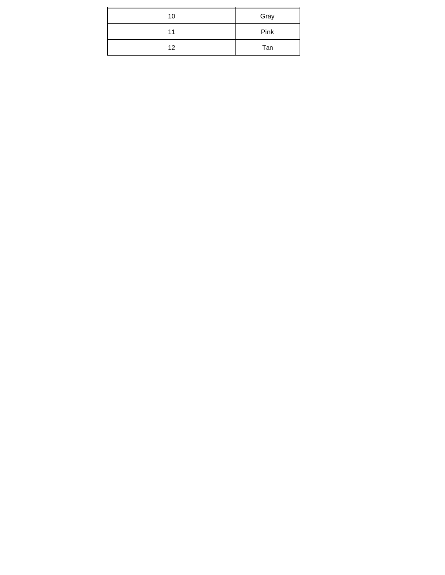| 10 | Gray |
|----|------|
| 11 | Pink |
| 12 | Tan  |